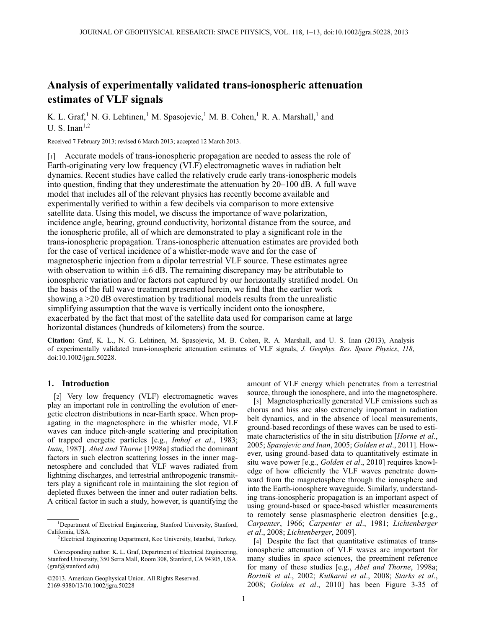# **Analysis of experimentally validated trans-ionospheric attenuation estimates of VLF signals**

K. L. Graf,<sup>1</sup> N. G. Lehtinen,<sup>1</sup> M. Spasojevic,<sup>1</sup> M. B. Cohen,<sup>1</sup> R. A. Marshall,<sup>1</sup> and U. S. Inan $1,2$ 

Received 7 February 2013; revised 6 March 2013; accepted 12 March 2013.

[1] Accurate models of trans-ionospheric propagation are needed to assess the role of Earth-originating very low frequency (VLF) electromagnetic waves in radiation belt dynamics. Recent studies have called the relatively crude early trans-ionospheric models into question, finding that they underestimate the attenuation by 20–100 dB. A full wave model that includes all of the relevant physics has recently become available and experimentally verified to within a few decibels via comparison to more extensive satellite data. Using this model, we discuss the importance of wave polarization, incidence angle, bearing, ground conductivity, horizontal distance from the source, and the ionospheric profile, all of which are demonstrated to play a significant role in the trans-ionospheric propagation. Trans-ionospheric attenuation estimates are provided both for the case of vertical incidence of a whistler-mode wave and for the case of magnetospheric injection from a dipolar terrestrial VLF source. These estimates agree with observation to within  $\pm 6$  dB. The remaining discrepancy may be attributable to ionospheric variation and/or factors not captured by our horizontally stratified model. On the basis of the full wave treatment presented herein, we find that the earlier work showing a >20 dB overestimation by traditional models results from the unrealistic simplifying assumption that the wave is vertically incident onto the ionosphere, exacerbated by the fact that most of the satellite data used for comparison came at large horizontal distances (hundreds of kilometers) from the source.

**Citation:** Graf, K. L., N. G. Lehtinen, M. Spasojevic, M. B. Cohen, R. A. Marshall, and U. S. Inan (2013), Analysis of experimentally validated trans-ionospheric attenuation estimates of VLF signals, *J. Geophys. Res. Space Physics*, *118*, doi:10.1002/jgra.50228.

## **1. Introduction**

[2] Very low frequency (VLF) electromagnetic waves play an important role in controlling the evolution of energetic electron distributions in near-Earth space. When propagating in the magnetosphere in the whistler mode, VLF waves can induce pitch-angle scattering and precipitation of trapped energetic particles [e.g., *Imhof et al*., [1983;](#page-12-1) *Inan*, [1987\]](#page-12-2). *[Abel and Thorne](#page-11-0)* [1998a] studied the dominant factors in such electron scattering losses in the inner magnetosphere and concluded that VLF waves radiated from lightning discharges, and terrestrial anthropogenic transmitters play a significant role in maintaining the slot region of depleted fluxes between the inner and outer radiation belts. A critical factor in such a study, however, is quantifying the

©2013. American Geophysical Union. All Rights Reserved. 2169-9380/13/10.1002/jgra.50228

amount of VLF energy which penetrates from a terrestrial source, through the ionosphere, and into the magnetosphere.

[3] Magnetospherically generated VLF emissions such as chorus and hiss are also extremely important in radiation belt dynamics, and in the absence of local measurements, ground-based recordings of these waves can be used to estimate characteristics of the in situ distribution [*Horne et al*., [2005;](#page-12-3) *Spasojevic and Inan*, [2005;](#page-12-4) *Golden et al*., [2011\]](#page-11-1). However, using ground-based data to quantitatively estimate in situ wave power [e.g., *Golden et al*., [2010\]](#page-11-2) requires knowledge of how efficiently the VLF waves penetrate downward from the magnetosphere through the ionosphere and into the Earth-ionosphere waveguide. Similarly, understanding trans-ionospheric propagation is an important aspect of using ground-based or space-based whistler measurements to remotely sense plasmaspheric electron densities [e.g., *Carpenter*, [1966;](#page-11-3) *Carpenter et al*., [1981;](#page-11-4) *Lichtenberger et al*., [2008;](#page-12-5) *Lichtenberger*, [2009\]](#page-12-6).

[4] Despite the fact that quantitative estimates of transionospheric attenuation of VLF waves are important for many studies in space sciences, the preeminent reference for many of these studies [e.g., *Abel and Thorne*, [1998a;](#page-11-0) *Bortnik et al*., [2002;](#page-11-5) *Kulkarni et al*., [2008;](#page-12-7) *Starks et al*., [2008;](#page-12-8) *Golden et al*., [2010\]](#page-11-2) has been Figure 3-35 of

<sup>&</sup>lt;sup>1</sup>Department of Electrical Engineering, Stanford University, Stanford, California, USA.

<sup>2</sup>Electrical Engineering Department, Koc University, Istanbul, Turkey.

Corresponding author: K. L. Graf, Department of Electrical Engineering, Stanford University, 350 Serra Mall, Room 308, Stanford, CA 94305, USA. (graf@stanford.edu)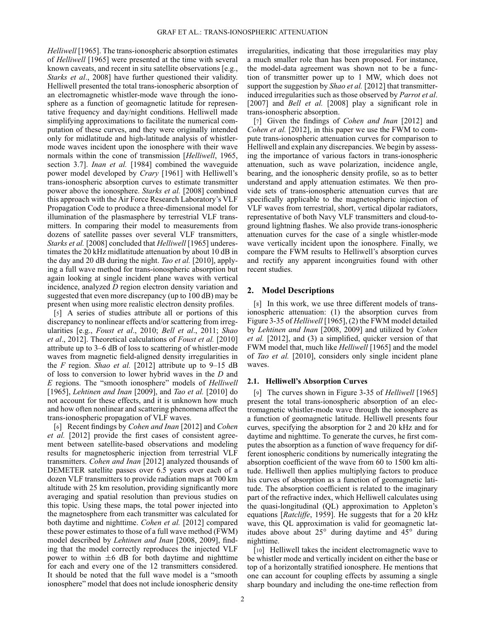*[Helliwell](#page-12-9)* [1965]. The trans-ionospheric absorption estimates of *[Helliwell](#page-12-9)* [1965] were presented at the time with several known caveats, and recent in situ satellite observations [e.g., *Starks et al*., [2008\]](#page-12-8) have further questioned their validity. Helliwell presented the total trans-ionospheric absorption of an electromagnetic whistler-mode wave through the ionosphere as a function of geomagnetic latitude for representative frequency and day/night conditions. Helliwell made simplifying approximations to facilitate the numerical computation of these curves, and they were originally intended only for midlatitude and high-latitude analysis of whistlermode waves incident upon the ionosphere with their wave normals within the cone of transmission [*Helliwell*, [1965,](#page-12-9) section 3.7]. *[Inan et al.](#page-12-10)* [1984] combined the waveguide power model developed by *Crary* [\[1961\]](#page-11-6) with Helliwell's trans-ionospheric absorption curves to estimate transmitter power above the ionosphere. *[Starks et al.](#page-12-8)* [2008] combined this approach with the Air Force Research Laboratory's VLF Propagation Code to produce a three-dimensional model for illumination of the plasmasphere by terrestrial VLF transmitters. In comparing their model to measurements from dozens of satellite passes over several VLF transmitters, *[Starks et al.](#page-12-8)* [2008] concluded that *[Helliwell](#page-12-9)* [1965] underestimates the 20 kHz midlatitude attenuation by about 10 dB in the day and 20 dB during the night. *[Tao et al.](#page-12-11)* [2010], applying a full wave method for trans-ionospheric absorption but again looking at single incident plane waves with vertical incidence, analyzed *D* region electron density variation and suggested that even more discrepancy (up to 100 dB) may be present when using more realistic electron density profiles.

[5] A series of studies attribute all or portions of this discrepancy to nonlinear effects and/or scattering from irregularities [e.g., *Foust et al*., [2010;](#page-11-7) *Bell et al*., [2011;](#page-11-8) *Shao et al*., [2012\]](#page-12-12). Theoretical calculations of *[Foust et al.](#page-11-7)* [2010] attribute up to 3–6 dB of loss to scattering of whistler-mode waves from magnetic field-aligned density irregularities in the *F* region. *[Shao et al.](#page-12-12)* [2012] attribute up to 9–15 dB of loss to conversion to lower hybrid waves in the *D* and *E* regions. The "smooth ionosphere" models of *Helliwell* [1965], *[Lehtinen and Inan](#page-12-13)* [2009], and *[Tao et al.](#page-12-11)* [2010] do not account for these effects, and it is unknown how much and how often nonlinear and scattering phenomena affect the trans-ionospheric propagation of VLF waves.

[6] Recent findings by *[Cohen and Inan](#page-11-9)* [2012] and *Cohen et al.* [2012[\]](#page-11-10) [provide](#page-11-10) [the](#page-11-10) [first](#page-11-10) [cases](#page-11-10) [of](#page-11-10) [consistent](#page-11-10) agreement between satellite-based observations and modeling results for magnetospheric injection from terrestrial VLF transmitters. *[Cohen and Inan](#page-11-9)* [2012] analyzed thousands of DEMETER satellite passes over 6.5 years over each of a dozen VLF transmitters to provide radiation maps at 700 km altitude with 25 km resolution, providing significantly more averaging and spatial resolution than previous studies on this topic. Using these maps, the total power injected into the magnetosphere from each transmitter was calculated for both daytime and nighttime. *[Cohen et al.](#page-11-10)* [2012] compared these power estimates to those of a full wave method (FWM) model described by *Lehtinen and Inan* [\[2008,](#page-12-14) [2009\]](#page-12-13), finding that the model correctly reproduces the injected VLF power to within  $\pm 6$  dB for both daytime and nighttime for each and every one of the 12 transmitters considered. It should be noted that the full wave model is a "smooth ionosphere" model that does not include ionospheric density

irregularities, indicating that those irregularities may play a much smaller role than has been proposed. For instance, the model-data agreement was shown not to be a function of transmitter power up to 1 MW, which does not support the suggestion by *[Shao et al.](#page-12-12)* [2012] that transmitterinduced irregularities such as those observed by *Parrot et al*. [\[2007\]](#page-12-15) and *[Bell et al.](#page-11-11)* [2008] play a significant role in trans-ionospheric absorption.

[7] Given the findings of *[Cohen and Inan](#page-11-9)* [2012] and *[Cohen et al.](#page-11-10)* [2012], in this paper we use the FWM to compute trans-ionospheric attenuation curves for comparison to Helliwell and explain any discrepancies. We begin by assessing the importance of various factors in trans-ionospheric attenuation, such as wave polarization, incidence angle, bearing, and the ionospheric density profile, so as to better understand and apply attenuation estimates. We then provide sets of trans-ionospheric attenuation curves that are specifically applicable to the magnetospheric injection of VLF waves from terrestrial, short, vertical dipolar radiators, representative of both Navy VLF transmitters and cloud-toground lightning flashes. We also provide trans-ionospheric attenuation curves for the case of a single whistler-mode wave vertically incident upon the ionosphere. Finally, we compare the FWM results to Helliwell's absorption curves and rectify any apparent incongruities found with other recent studies.

### **2. Model Descriptions**

[8] In this work, we use three different models of transionospheric attenuation: (1) the absorption curves from Figure 3-35 of *[Helliwell](#page-12-9)* [1965], (2) the FWM model detailed by *Lehtinen and Inan* [\[2008,](#page-12-14) [2009\]](#page-12-13) and utilized by *Cohen et al.* [2012[\],](#page-11-10) [and](#page-11-10) [\(3\)](#page-11-10) [a](#page-11-10) [simplified,](#page-11-10) [quicker](#page-11-10) [version](#page-11-10) [o](#page-11-10)f that FWM model that, much like *[Helliwell](#page-12-9)* [1965] and the model of *[Tao et al.](#page-12-11)* [2010], considers only single incident plane waves.

## **2.1. Helliwell's Absorption Curves**

[9] The curves shown in Figure 3-35 of *[Helliwell](#page-12-9)* [1965] present the total trans-ionospheric absorption of an electromagnetic whistler-mode wave through the ionosphere as a function of geomagnetic latitude. Helliwell presents four curves, specifying the absorption for 2 and 20 kHz and for daytime and nighttime. To generate the curves, he first computes the absorption as a function of wave frequency for different ionospheric conditions by numerically integrating the absorption coefficient of the wave from 60 to 1500 km altitude. Helliwell then applies multiplying factors to produce his curves of absorption as a function of geomagnetic latitude. The absorption coefficient is related to the imaginary part of the refractive index, which Helliwell calculates using the quasi-longitudinal (QL) approximation to Appleton's equations [*[Ratcliffe](#page-12-16)*, 1959]. He suggests that for a 20 kHz wave, this QL approximation is valid for geomagnetic latitudes above about  $25^\circ$  during daytime and  $45^\circ$  during nighttime.

[10] Helliwell takes the incident electromagnetic wave to be whistler mode and vertically incident on either the base or top of a horizontally stratified ionosphere. He mentions that one can account for coupling effects by assuming a single sharp boundary and including the one-time reflection from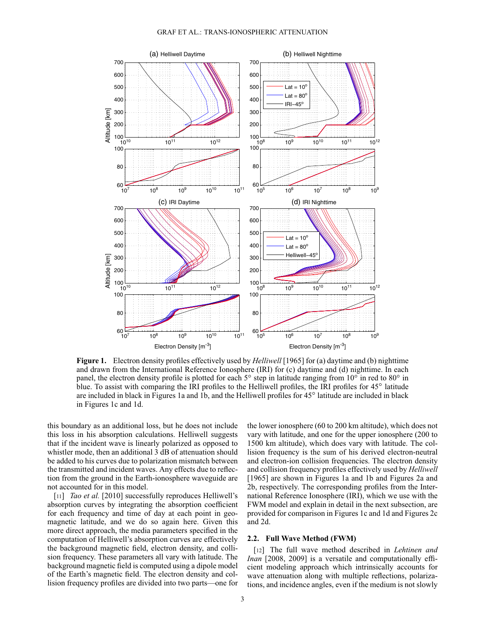

<span id="page-2-0"></span>**Figure 1.** Electron density profiles effectively used by *[Helliwell](#page-12-9)* [1965] for (a) daytime and (b) nighttime and drawn from the International Reference Ionosphere (IRI) for (c) daytime and (d) nighttime. In each panel, the electron density profile is plotted for each  $5^\circ$  step in latitude ranging from  $10^\circ$  in red to  $80^\circ$  in blue. To assist with comparing the IRI profiles to the Helliwell profiles, the IRI profiles for 45° latitude are included in black in Figures [1a](#page-2-0) and [1b](#page-2-0), and the Helliwell profiles for 45° latitude are included in black in Figures [1c](#page-2-0) and [1d](#page-2-0).

this boundary as an additional loss, but he does not include this loss in his absorption calculations. Helliwell suggests that if the incident wave is linearly polarized as opposed to whistler mode, then an additional 3 dB of attenuation should be added to his curves due to polarization mismatch between the transmitted and incident waves. Any effects due to reflection from the ground in the Earth-ionosphere waveguide are not accounted for in this model.

[11] *[Tao et al.](#page-12-11)* [2010] successfully reproduces Helliwell's absorption curves by integrating the absorption coefficient for each frequency and time of day at each point in geomagnetic latitude, and we do so again here. Given this more direct approach, the media parameters specified in the computation of Helliwell's absorption curves are effectively the background magnetic field, electron density, and collision frequency. These parameters all vary with latitude. The background magnetic field is computed using a dipole model of the Earth's magnetic field. The electron density and collision frequency profiles are divided into two parts—one for the lower ionosphere (60 to 200 km altitude), which does not vary with latitude, and one for the upper ionosphere (200 to 1500 km altitude), which does vary with latitude. The collision frequency is the sum of his derived electron-neutral and electron-ion collision frequencies. The electron density and collision frequency profiles effectively used by *Helliwell* [1965[\]](#page-12-9) [are](#page-12-9) [shown](#page-12-9) [in](#page-12-9) [Figures](#page-12-9) [1a](#page-2-0) [and](#page-12-9) [1b](#page-2-0) [and](#page-12-9) [Figure](#page-12-9)s [2a](#page-3-0) and [2b](#page-3-0), respectively. The corresponding profiles from the International Reference Ionosphere (IRI), which we use with the FWM model and explain in detail in the next subsection, are provided for comparison in Figures [1c](#page-2-0) and [1d](#page-2-0) and Figures [2c](#page-3-0) and [2d](#page-3-0).

#### <span id="page-2-1"></span>**2.2. Full Wave Method (FWM)**

[12] The full wave method described in *Lehtinen and Inan* [\[2008,](#page-12-14) [2009\]](#page-12-13) is a versatile and computationally efficient modeling approach which intrinsically accounts for wave attenuation along with multiple reflections, polarizations, and incidence angles, even if the medium is not slowly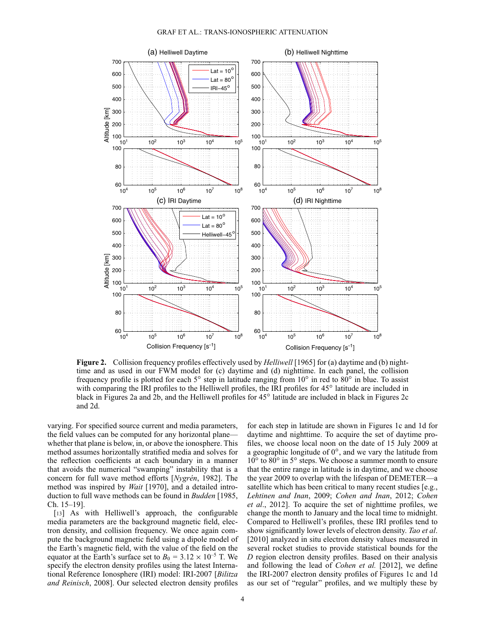

<span id="page-3-0"></span>**Figure 2.** Collision frequency profiles effectively used by *[Helliwell](#page-12-9)* [1965] for (a) daytime and (b) nighttime and as used in our FWM model for (c) daytime and (d) nighttime. In each panel, the collision frequency profile is plotted for each  $5^\circ$  step in latitude ranging from  $10^\circ$  in red to  $80^\circ$  in blue. To assist with comparing the IRI profiles to the Helliwell profiles, the IRI profiles for 45<sup>°</sup> latitude are included in black in Figures [2a](#page-3-0) and [2b](#page-3-0), and the Helliwell profiles for  $45^\circ$  latitude are included in black in Figures [2c](#page-3-0) and [2d](#page-3-0).

varying. For specified source current and media parameters, the field values can be computed for any horizontal plane whether that plane is below, in, or above the ionosphere. This method assumes horizontally stratified media and solves for the reflection coefficients at each boundary in a manner that avoids the numerical "swamping" instability that is a concern for full wave method efforts [*[Nygrén](#page-12-17)*, 1982]. The method was inspired by *Wait* [\[1970\]](#page-12-18), and a detailed introduction to full wave methods can be found in *Budden* [\[1985,](#page-11-12) Ch. 15–19].

[13] As with Helliwell's approach, the configurable media parameters are the background magnetic field, electron density, and collision frequency. We once again compute the background magnetic field using a dipole model of the Earth's magnetic field, with the value of the field on the equator at the Earth's surface set to  $B_0 = 3.12 \times 10^{-5}$  T. We specify the electron density profiles using the latest International Reference Ionosphere (IRI) model: IRI-2007 [*Bilitza and Reinisch*, 2008[\].](#page-11-13) [Our](#page-11-13) [selected](#page-11-13) [electron](#page-11-13) [density](#page-11-13) [p](#page-11-13)rofiles

for each step in latitude are shown in Figures [1c](#page-2-0) and [1d](#page-2-0) for daytime and nighttime. To acquire the set of daytime profiles, we choose local noon on the date of 15 July 2009 at a geographic longitude of  $0^\circ$ , and we vary the latitude from  $10^{\circ}$  to  $80^{\circ}$  in 5° steps. We choose a summer month to ensure that the entire range in latitude is in daytime, and we choose the year 2009 to overlap with the lifespan of DEMETER—a satellite which has been critical to many recent studies [e.g., *Lehtinen and Inan*, [2009;](#page-12-13) *Cohen and Inan*, [2012;](#page-11-9) *Cohen et al*., [2012\]](#page-11-10). To acquire the set of nighttime profiles, we change the month to January and the local time to midnight. Compared to Helliwell's profiles, these IRI profiles tend to show significantly lower levels of electron density. *Tao et al*. [\[2010\]](#page-12-11) analyzed in situ electron density values measured in several rocket studies to provide statistical bounds for the *D* region electron density profiles. Based on their analysis and following the lead of *[Cohen et al.](#page-11-10)* [2012], we define the IRI-2007 electron density profiles of Figures [1c](#page-2-0) and [1d](#page-2-0) as our set of "regular" profiles, and we multiply these by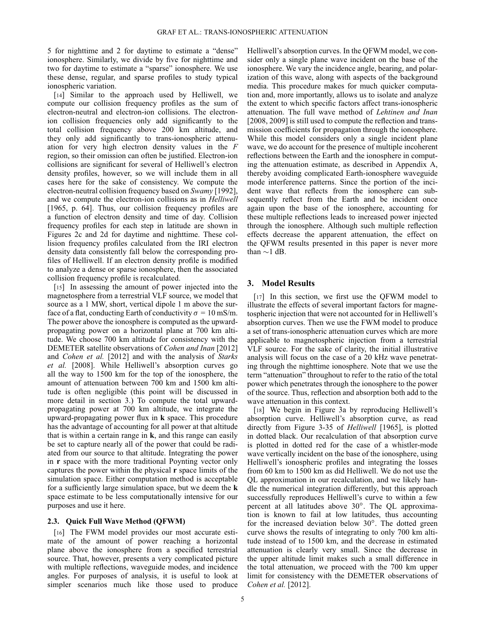5 for nighttime and 2 for daytime to estimate a "dense" ionosphere. Similarly, we divide by five for nighttime and two for daytime to estimate a "sparse" ionosphere. We use these dense, regular, and sparse profiles to study typical ionospheric variation.

[14] Similar to the approach used by Helliwell, we compute our collision frequency profiles as the sum of electron-neutral and electron-ion collisions. The electronion collision frequencies only add significantly to the total collision frequency above 200 km altitude, and they only add significantly to trans-ionospheric attenuation for very high electron density values in the *F* region, so their omission can often be justified. Electron-ion collisions are significant for several of Helliwell's electron density profiles, however, so we will include them in all cases here for the sake of consistency. We compute the electron-neutral collision frequency based on *[Swamy](#page-12-19)* [1992], and we compute the electron-ion collisions as in *Helliwell* [\[1965,](#page-12-9) p. 64]. Thus, our collision frequency profiles are a function of electron density and time of day. Collision frequency profiles for each step in latitude are shown in Figures [2c](#page-3-0) and [2d](#page-3-0) for daytime and nighttime. These collision frequency profiles calculated from the IRI electron density data consistently fall below the corresponding profiles of Helliwell. If an electron density profile is modified to analyze a dense or sparse ionosphere, then the associated collision frequency profile is recalculated.

[15] In assessing the amount of power injected into the magnetosphere from a terrestrial VLF source, we model that source as a 1 MW, short, vertical dipole 1 m above the surface of a flat, conducting Earth of conductivity  $\sigma = 10 \text{ mS/m}$ . The power above the ionosphere is computed as the upwardpropagating power on a horizontal plane at 700 km altitude. We choose 700 km altitude for consistency with the DEMETER satellite observations of *[Cohen and Inan](#page-11-9)* [2012] and *[Cohen et al.](#page-11-10)* [2012] and with the analysis of *Starks et al.* [2008[\].](#page-12-8) [While](#page-12-8) [Helliwell's](#page-12-8) [absorption](#page-12-8) [curv](#page-12-8)es go all the way to 1500 km for the top of the ionosphere, the amount of attenuation between 700 km and 1500 km altitude is often negligible (this point will be discussed in more detail in section [3.](#page-4-0)) To compute the total upwardpropagating power at 700 km altitude, we integrate the upward-propagating power flux in **k** space. This procedure has the advantage of accounting for all power at that altitude that is within a certain range in **k**, and this range can easily be set to capture nearly all of the power that could be radiated from our source to that altitude. Integrating the power in **r** space with the more traditional Poynting vector only captures the power within the physical **r** space limits of the simulation space. Either computation method is acceptable for a sufficiently large simulation space, but we deem the **k** space estimate to be less computationally intensive for our purposes and use it here.

### <span id="page-4-1"></span>**2.3. Quick Full Wave Method (QFWM)**

[16] The FWM model provides our most accurate estimate of the amount of power reaching a horizontal plane above the ionosphere from a specified terrestrial source. That, however, presents a very complicated picture with multiple reflections, waveguide modes, and incidence angles. For purposes of analysis, it is useful to look at simpler scenarios much like those used to produce Helliwell's absorption curves. In the QFWM model, we consider only a single plane wave incident on the base of the ionosphere. We vary the incidence angle, bearing, and polarization of this wave, along with aspects of the background media. This procedure makes for much quicker computation and, more importantly, allows us to isolate and analyze the extent to which specific factors affect trans-ionospheric attenuation. The full wave method of *Lehtinen and Inan* [\[2008,](#page-12-14) [2009\]](#page-12-13) is still used to compute the reflection and transmission coefficients for propagation through the ionosphere. While this model considers only a single incident plane wave, we do account for the presence of multiple incoherent reflections between the Earth and the ionosphere in computing the attenuation estimate, as described in Appendix A, thereby avoiding complicated Earth-ionosphere waveguide mode interference patterns. Since the portion of the incident wave that reflects from the ionosphere can subsequently reflect from the Earth and be incident once again upon the base of the ionosphere, accounting for these multiple reflections leads to increased power injected through the ionosphere. Although such multiple reflection effects decrease the apparent attenuation, the effect on the QFWM results presented in this paper is never more than  $\sim$ 1 dB.

## <span id="page-4-0"></span>**3. Model Results**

[17] In this section, we first use the QFWM model to illustrate the effects of several important factors for magnetospheric injection that were not accounted for in Helliwell's absorption curves. Then we use the FWM model to produce a set of trans-ionospheric attenuation curves which are more applicable to magnetospheric injection from a terrestrial VLF source. For the sake of clarity, the initial illustrative analysis will focus on the case of a 20 kHz wave penetrating through the nighttime ionosphere. Note that we use the term "attenuation" throughout to refer to the ratio of the total power which penetrates through the ionosphere to the power of the source. Thus, reflection and absorption both add to the wave attenuation in this context.

[18] We begin in Figure [3a](#page-5-0) by reproducing Helliwell's absorption curve. Helliwell's absorption curve, as read directly from Figure 3-35 of *[Helliwell](#page-12-9)* [1965], is plotted in dotted black. Our recalculation of that absorption curve is plotted in dotted red for the case of a whistler-mode wave vertically incident on the base of the ionosphere, using Helliwell's ionospheric profiles and integrating the losses from 60 km to 1500 km as did Helliwell. We do not use the QL approximation in our recalculation, and we likely handle the numerical integration differently, but this approach successfully reproduces Helliwell's curve to within a few percent at all latitudes above  $30^\circ$ . The QL approximation is known to fail at low latitudes, thus accounting for the increased deviation below  $30^\circ$ . The dotted green curve shows the results of integrating to only 700 km altitude instead of to 1500 km, and the decrease in estimated attenuation is clearly very small. Since the decrease in the upper altitude limit makes such a small difference in the total attenuation, we proceed with the 700 km upper limit for consistency with the DEMETER observations of *Cohen et al.* [\[2012\]](#page-11-10).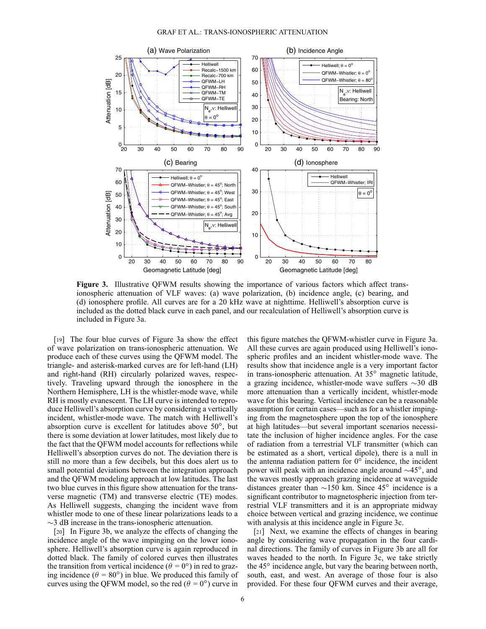

<span id="page-5-0"></span>**Figure 3.** Illustrative QFWM results showing the importance of various factors which affect transionospheric attenuation of VLF waves: (a) wave polarization, (b) incidence angle, (c) bearing, and (d) ionosphere profile. All curves are for a 20 kHz wave at nighttime. Helliwell's absorption curve is included as the dotted black curve in each panel, and our recalculation of Helliwell's absorption curve is included in Figure [3a](#page-5-0).

[19] The four blue curves of Figure [3a](#page-5-0) show the effect of wave polarization on trans-ionospheric attenuation. We produce each of these curves using the QFWM model. The triangle- and asterisk-marked curves are for left-hand (LH) and right-hand (RH) circularly polarized waves, respectively. Traveling upward through the ionosphere in the Northern Hemisphere, LH is the whistler-mode wave, while RH is mostly evanescent. The LH curve is intended to reproduce Helliwell's absorption curve by considering a vertically incident, whistler-mode wave. The match with Helliwell's absorption curve is excellent for latitudes above  $50^\circ$ , but there is some deviation at lower latitudes, most likely due to the fact that the QFWM model accounts for reflections while Helliwell's absorption curves do not. The deviation there is still no more than a few decibels, but this does alert us to small potential deviations between the integration approach and the QFWM modeling approach at low latitudes. The last two blue curves in this figure show attenuation for the transverse magnetic (TM) and transverse electric (TE) modes. As Helliwell suggests, changing the incident wave from whistler mode to one of these linear polarizations leads to a  $\sim$ 3 dB increase in the trans-ionospheric attenuation.

[20] In Figure [3b](#page-5-0), we analyze the effects of changing the incidence angle of the wave impinging on the lower ionosphere. Helliwell's absorption curve is again reproduced in dotted black. The family of colored curves then illustrates the transition from vertical incidence ( $\theta = 0^{\circ}$ ) in red to grazing incidence ( $\theta = 80^\circ$ ) in blue. We produced this family of curves using the QFWM model, so the red ( $\theta = 0^{\circ}$ ) curve in

this figure matches the QFWM-whistler curve in Figure [3a](#page-5-0). All these curves are again produced using Helliwell's ionospheric profiles and an incident whistler-mode wave. The results show that incidence angle is a very important factor in trans-ionospheric attenuation. At  $35^\circ$  magnetic latitude, a grazing incidence, whistler-mode wave suffers  $\sim$ 30 dB more attenuation than a vertically incident, whistler-mode wave for this bearing. Vertical incidence can be a reasonable assumption for certain cases—such as for a whistler impinging from the magnetosphere upon the top of the ionosphere at high latitudes—but several important scenarios necessitate the inclusion of higher incidence angles. For the case of radiation from a terrestrial VLF transmitter (which can be estimated as a short, vertical dipole), there is a null in the antenna radiation pattern for  $0^\circ$  incidence, the incident power will peak with an incidence angle around  $\sim$ 45<sup>°</sup>, and the waves mostly approach grazing incidence at waveguide distances greater than  $\sim$ 150 km. Since 45<sup>°</sup> incidence is a significant contributor to magnetospheric injection from terrestrial VLF transmitters and it is an appropriate midway choice between vertical and grazing incidence, we continue with analysis at this incidence angle in Figure [3c](#page-5-0).

[21] Next, we examine the effects of changes in bearing angle by considering wave propagation in the four cardinal directions. The family of curves in Figure [3b](#page-5-0) are all for waves headed to the north. In Figure [3c](#page-5-0), we take strictly the  $45^\circ$  incidence angle, but vary the bearing between north, south, east, and west. An average of those four is also provided. For these four QFWM curves and their average,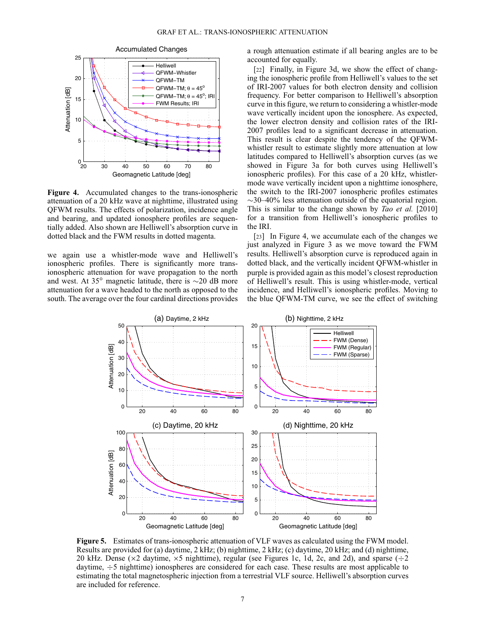

<span id="page-6-0"></span>**Figure 4.** Accumulated changes to the trans-ionospheric attenuation of a 20 kHz wave at nighttime, illustrated using QFWM results. The effects of polarization, incidence angle and bearing, and updated ionosphere profiles are sequentially added. Also shown are Helliwell's absorption curve in dotted black and the FWM results in dotted magenta.

we again use a whistler-mode wave and Helliwell's ionospheric profiles. There is significantly more transionospheric attenuation for wave propagation to the north and west. At 35 $\degree$  magnetic latitude, there is  $\sim$ 20 dB more attenuation for a wave headed to the north as opposed to the south. The average over the four cardinal directions provides a rough attenuation estimate if all bearing angles are to be accounted for equally.

[22] Finally, in Figure [3d](#page-5-0), we show the effect of changing the ionospheric profile from Helliwell's values to the set of IRI-2007 values for both electron density and collision frequency. For better comparison to Helliwell's absorption curve in this figure, we return to considering a whistler-mode wave vertically incident upon the ionosphere. As expected, the lower electron density and collision rates of the IRI-2007 profiles lead to a significant decrease in attenuation. This result is clear despite the tendency of the QFWMwhistler result to estimate slightly more attenuation at low latitudes compared to Helliwell's absorption curves (as we showed in Figure [3a](#page-5-0) for both curves using Helliwell's ionospheric profiles). For this case of a 20 kHz, whistlermode wave vertically incident upon a nighttime ionosphere, the switch to the IRI-2007 ionospheric profiles estimates  $\sim$ 30–40% less attenuation outside of the equatorial region. This is similar to the change shown by *[Tao et al.](#page-12-11)* [2010] for a transition from Helliwell's ionospheric profiles to the IRI.

[23] In Figure [4,](#page-6-0) we accumulate each of the changes we just analyzed in Figure [3](#page-5-0) as we move toward the FWM results. Helliwell's absorption curve is reproduced again in dotted black, and the vertically incident QFWM-whistler in purple is provided again as this model's closest reproduction of Helliwell's result. This is using whistler-mode, vertical incidence, and Helliwell's ionospheric profiles. Moving to the blue QFWM-TM curve, we see the effect of switching



<span id="page-6-1"></span>**Figure 5.** Estimates of trans-ionospheric attenuation of VLF waves as calculated using the FWM model. Results are provided for (a) daytime, 2 kHz; (b) nighttime, 2 kHz; (c) daytime, 20 kHz; and (d) nighttime, 20 kHz. Dense ( $\times$ 2 daytime,  $\times$ 5 nighttime), regular (see Figures [1c](#page-2-0), [1d](#page-2-0), [2c](#page-3-0), and [2d](#page-3-0)), and sparse ( $\div$ 2 daytime,  $\div$  5 nighttime) ionospheres are considered for each case. These results are most applicable to estimating the total magnetospheric injection from a terrestrial VLF source. Helliwell's absorption curves are included for reference.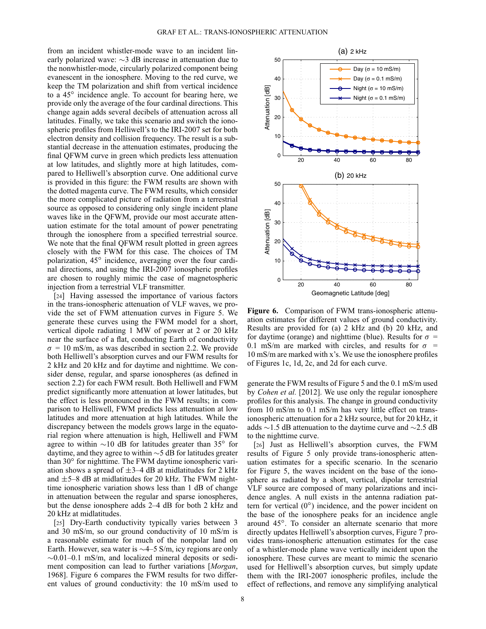from an incident whistler-mode wave to an incident linearly polarized wave:  $\sim$ 3 dB increase in attenuation due to the nonwhistler-mode, circularly polarized component being evanescent in the ionosphere. Moving to the red curve, we keep the TM polarization and shift from vertical incidence to a  $45^\circ$  incidence angle. To account for bearing here, we provide only the average of the four cardinal directions. This change again adds several decibels of attenuation across all latitudes. Finally, we take this scenario and switch the ionospheric profiles from Helliwell's to the IRI-2007 set for both electron density and collision frequency. The result is a substantial decrease in the attenuation estimates, producing the final QFWM curve in green which predicts less attenuation at low latitudes, and slightly more at high latitudes, compared to Helliwell's absorption curve. One additional curve is provided in this figure: the FWM results are shown with the dotted magenta curve. The FWM results, which consider the more complicated picture of radiation from a terrestrial source as opposed to considering only single incident plane waves like in the QFWM, provide our most accurate attenuation estimate for the total amount of power penetrating through the ionosphere from a specified terrestrial source. We note that the final QFWM result plotted in green agrees closely with the FWM for this case. The choices of TM polarization,  $45^\circ$  incidence, averaging over the four cardinal directions, and using the IRI-2007 ionospheric profiles are chosen to roughly mimic the case of magnetospheric injection from a terrestrial VLF transmitter.

[24] Having assessed the importance of various factors in the trans-ionospheric attenuation of VLF waves, we provide the set of FWM attenuation curves in Figure [5.](#page-6-1) We generate these curves using the FWM model for a short, vertical dipole radiating 1 MW of power at 2 or 20 kHz near the surface of a flat, conducting Earth of conductivity  $\sigma = 10$  mS/m, as was described in section [2.2.](#page-2-1) We provide both Helliwell's absorption curves and our FWM results for 2 kHz and 20 kHz and for daytime and nighttime. We consider dense, regular, and sparse ionospheres (as defined in section [2.2\)](#page-2-1) for each FWM result. Both Helliwell and FWM predict significantly more attenuation at lower latitudes, but the effect is less pronounced in the FWM results; in comparison to Helliwell, FWM predicts less attenuation at low latitudes and more attenuation at high latitudes. While the discrepancy between the models grows large in the equatorial region where attenuation is high, Helliwell and FWM agree to within  $\sim$ 10 dB for latitudes greater than 35 $\degree$  for daytime, and they agree to within  $\sim$  5 dB for latitudes greater than  $30^\circ$  for nighttime. The FWM daytime ionospheric variation shows a spread of  $\pm$ 3–4 dB at midlatitudes for 2 kHz and  $\pm$ 5–8 dB at midlatitudes for 20 kHz. The FWM nighttime ionospheric variation shows less than 1 dB of change in attenuation between the regular and sparse ionospheres, but the dense ionosphere adds 2–4 dB for both 2 kHz and 20 kHz at midlatitudes.

[25] Dry-Earth conductivity typically varies between 3 and 30 mS/m, so our ground conductivity of 10 mS/m is a reasonable estimate for much of the nonpolar land on Earth. However, sea water is  $\sim$  4–5 S/m, icy regions are only  $\sim$ 0.01–0.1 mS/m, and localized mineral deposits or sediment composition can lead to further variations [*Morgan*, 1968]. Figure [6](#page-7-0) compares the FWM results for two different values of ground conductivity: the 10 mS/m used to



<span id="page-7-0"></span>**Figure 6.** Comparison of FWM trans-ionospheric attenuation estimates for different values of ground conductivity. Results are provided for (a) 2 kHz and (b) 20 kHz, and for daytime (orange) and nighttime (blue). Results for  $\sigma$  = 0.1 mS/m are marked with circles, and results for  $\sigma$  = 10 mS/m are marked with x's. We use the ionosphere profiles of Figures [1c](#page-2-0), [1d](#page-2-0), [2c](#page-3-0), and [2d](#page-3-0) for each curve.

generate the FWM results of Figure [5](#page-6-1) and the 0.1 mS/m used by *[Cohen et al.](#page-11-10)* [2012]. We use only the regular ionosphere profiles for this analysis. The change in ground conductivity from 10 mS/m to 0.1 mS/m has very little effect on transionospheric attenuation for a 2 kHz source, but for 20 kHz, it adds  $\sim$ 1.5 dB attenuation to the daytime curve and  $\sim$ 2.5 dB to the nighttime curve.

[26] Just as Helliwell's absorption curves, the FWM results of Figure [5](#page-6-1) only provide trans-ionospheric attenuation estimates for a specific scenario. In the scenario for Figure [5,](#page-6-1) the waves incident on the base of the ionosphere as radiated by a short, vertical, dipolar terrestrial VLF source are composed of many polarizations and incidence angles. A null exists in the antenna radiation pattern for vertical  $(0^{\circ})$  incidence, and the power incident on the base of the ionosphere peaks for an incidence angle around 45°. To consider an alternate scenario that more directly updates Helliwell's absorption curves, Figure [7](#page-8-0) provides trans-ionospheric attenuation estimates for the case of a whistler-mode plane wave vertically incident upon the ionosphere. These curves are meant to mimic the scenario used for Helliwell's absorption curves, but simply update them with the IRI-2007 ionospheric profiles, include the effect of reflections, and remove any simplifying analytical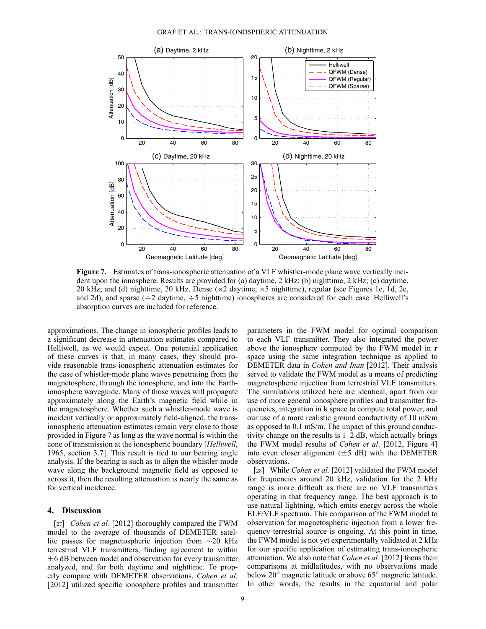

<span id="page-8-0"></span>**Figure 7.** Estimates of trans-ionospheric attenuation of a VLF whistler-mode plane wave vertically incident upon the ionosphere. Results are provided for (a) daytime, 2 kHz; (b) nighttime, 2 kHz; (c) daytime, 20 kHz; and (d) nighttime, 20 kHz. Dense ( $\times$ 2 daytime,  $\times$ 5 nighttime), regular (see Figures [1c](#page-2-0), [1d](#page-2-0), [2c](#page-3-0), and [2d](#page-3-0)), and sparse  $(\div 2$  daytime,  $\div 5$  nighttime) ionospheres are considered for each case. Helliwell's absorption curves are included for reference.

approximations. The change in ionospheric profiles leads to a significant decrease in attenuation estimates compared to Helliwell, as we would expect. One potential application of these curves is that, in many cases, they should provide reasonable trans-ionospheric attenuation estimates for the case of whistler-mode plane waves penetrating from the magnetosphere, through the ionosphere, and into the Earthionosphere waveguide. Many of those waves will propagate approximately along the Earth's magnetic field while in the magnetosphere. Whether such a whistler-mode wave is incident vertically or approximately field-aligned, the transionospheric attenuation estimates remain very close to those provided in Figure [7](#page-8-0) as long as the wave normal is within the cone of transmission at the ionospheric boundary [*Helliwell*, [1965,](#page-12-9) section 3.7]. This result is tied to our bearing angle analysis. If the bearing is such as to align the whistler-mode wave along the background magnetic field as opposed to across it, then the resulting attenuation is nearly the same as for vertical incidence.

# **4. Discussion**

[27] *[Cohen et al.](#page-11-10)* [2012] thoroughly compared the FWM model to the average of thousands of DEMETER satellite passes for magnetospheric injection from  $\sim$ 20 kHz terrestrial VLF transmitters, finding agreement to within  $\pm$ 6 dB between model and observation for every transmitter analyzed, and for both daytime and nighttime. To properly compare with DEMETER observations, *Cohen et al.* [2012[\]](#page-11-10) [utilized](#page-11-10) [specific](#page-11-10) [ionosphere](#page-11-10) [profiles](#page-11-10) [an](#page-11-10)d transmitter

parameters in the FWM model for optimal comparison to each VLF transmitter. They also integrated the power above the ionosphere computed by the FWM model in **r** space using the same integration technique as applied to DEMETER data in *[Cohen and Inan](#page-11-9)* [2012]. Their analysis served to validate the FWM model as a means of predicting magnetospheric injection from terrestrial VLF transmitters. The simulations utilized here are identical, apart from our use of more general ionosphere profiles and transmitter frequencies, integration in **k** space to compute total power, and our use of a more realistic ground conductivity of 10 mS/m as opposed to 0.1 mS/m. The impact of this ground conductivity change on the results is 1–2 dB, which actually brings the FWM model results of *Cohen et al*. [\[2012,](#page-11-10) Figure [4\]](#page-6-0) into even closer alignment  $(\pm 5$  dB) with the DEMETER observations.

[28] While *[Cohen et al.](#page-11-10)* [2012] validated the FWM model for frequencies around 20 kHz, validation for the 2 kHz range is more difficult as there are no VLF transmitters operating in that frequency range. The best approach is to use natural lightning, which emits energy across the whole ELF/VLF spectrum. This comparison of the FWM model to observation for magnetospheric injection from a lower frequency terrestrial source is ongoing. At this point in time, the FWM model is not yet experimentally validated at 2 kHz for our specific application of estimating trans-ionospheric attenuation. We also note that *[Cohen et al.](#page-11-10)* [2012] focus their comparisons at midlatitudes, with no observations made below 20° magnetic latitude or above 65° magnetic latitude. In other words, the results in the equatorial and polar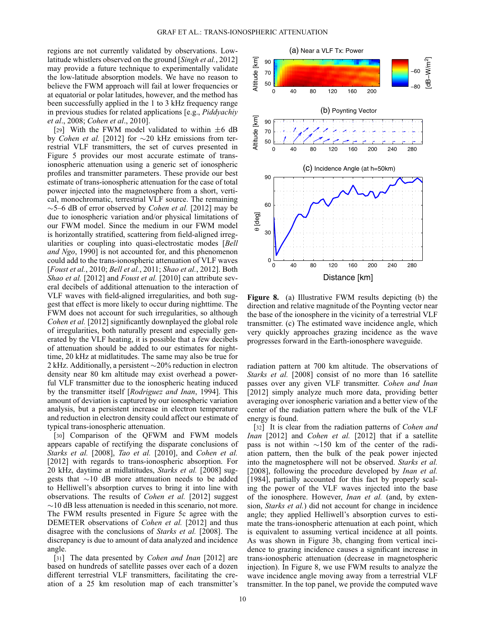regions are not currently validated by observations. Lowlatitude whistlers observed on the ground [*[Singh et al.](#page-12-20)*, 2012] may provide a future technique to experimentally validate the low-latitude absorption models. We have no reason to believe the FWM approach will fail at lower frequencies or at equatorial or polar latitudes, however, and the method has been successfully applied in the 1 to 3 kHz frequency range in previous studies for related applications [e.g., *Piddyachiy et al*., [2008;](#page-12-21) *Cohen et al*., [2010\]](#page-11-14).

[29] With the FWM model validated to within  $\pm 6$  dB by *[Cohen et al.](#page-11-10)* [2012] for  $\sim$  20 kHz emissions from terrestrial VLF transmitters, the set of curves presented in Figure [5](#page-6-1) provides our most accurate estimate of transionospheric attenuation using a generic set of ionospheric profiles and transmitter parameters. These provide our best estimate of trans-ionospheric attenuation for the case of total power injected into the magnetosphere from a short, vertical, monochromatic, terrestrial VLF source. The remaining  $\sim$  5–6 dB of error observed by *[Cohen et al.](#page-11-10)* [2012] may be due to ionospheric variation and/or physical limitations of our FWM model. Since the medium in our FWM model is horizontally stratified, scattering from field-aligned irregularities or coupling into quasi-electrostatic modes [*Bell and Ngo*, 1990] is not accounted for, and this phenomenon could add to the trans-ionospheric attenuation of VLF waves [*[Foust et al.](#page-11-7)*, 2010; *[Bell et al.](#page-11-8)*, 2011; *[Shao et al.](#page-12-12)*, 2012]. Both *[Shao et al.](#page-12-12)* [2012] and *[Foust et al.](#page-11-7)* [2010] can attribute several decibels of additional attenuation to the interaction of VLF waves with field-aligned irregularities, and both suggest that effect is more likely to occur during nighttime. The FWM does not account for such irregularities, so although *[Cohen et al.](#page-11-10)* [2012] significantly downplayed the global role of irregularities, both naturally present and especially generated by the VLF heating, it is possible that a few decibels of attenuation should be added to our estimates for nighttime, 20 kHz at midlatitudes. The same may also be true for 2 kHz. Additionally, a persistent  $\sim$ 20% reduction in electron density near 80 km altitude may exist overhead a powerful VLF transmitter due to the ionospheric heating induced by the transmitter itself [*[Rodriguez and Inan](#page-12-22)*, 1994]. This amount of deviation is captured by our ionospheric variation analysis, but a persistent increase in electron temperature and reduction in electron density could affect our estimate of typical trans-ionospheric attenuation.

[30] Comparison of the QFWM and FWM models appears capable of rectifying the disparate conclusions of *[Starks et al.](#page-12-8)* [2008], *[Tao et al.](#page-12-11)* [2010], and *Cohen et al.* [2012[\]](#page-11-10) [with](#page-11-10) [regards](#page-11-10) [to](#page-11-10) [trans-ionospheric](#page-11-10) [abs](#page-11-10)orption. For 20 kHz, daytime at midlatitudes, *[Starks et al.](#page-12-8)* [2008] suggests that  $\sim$ 10 dB more attenuation needs to be added to Helliwell's absorption curves to bring it into line with observations. The results of *[Cohen et al.](#page-11-10)* [2012] suggest  $\sim$ 10 dB less attenuation is needed in this scenario, not more. The FWM results presented in Figure [5c](#page-6-1) agree with the DEMETER observations of *[Cohen et al.](#page-11-10)* [2012] and thus disagree with the conclusions of *[Starks et al.](#page-12-8)* [2008]. The discrepancy is due to amount of data analyzed and incidence angle.

[31] The data presented by *[Cohen and Inan](#page-11-9)* [2012] are based on hundreds of satellite passes over each of a dozen different terrestrial VLF transmitters, facilitating the creation of a 25 km resolution map of each transmitter's



<span id="page-9-0"></span>**Figure 8.** (a) Illustrative FWM results depicting (b) the direction and relative magnitude of the Poynting vector near the base of the ionosphere in the vicinity of a terrestrial VLF transmitter. (c) The estimated wave incidence angle, which very quickly approaches grazing incidence as the wave progresses forward in the Earth-ionosphere waveguide.

radiation pattern at 700 km altitude. The observations of *[Starks et al.](#page-12-8)* [2008] consist of no more than 16 satellite passes over any given VLF transmitter. *Cohen and Inan* [2012] simply analyze much more data, providing better averaging over ionospheric variation and a better view of the center of the radiation pattern where the bulk of the VLF energy is found.

[32] It is clear from the radiation patterns of *Cohen and Inan* [2012] and *[Cohen et al.](#page-11-10)* [2012] that if a satellite pass is not within  $\sim$ 150 km of the center of the radiation pattern, then the bulk of the peak power injected into the magnetosphere will not be observed. *Starks et al.* [2008], following the procedure developed by *Inan et al.* [1984], partially accounted for this fact by properly scaling the power of the VLF waves injected into the base of the ionosphere. However, *Inan et al.* (and, by extension, *Starks et al.*) did not account for change in incidence angle; they applied Helliwell's absorption curves to estimate the trans-ionospheric attenuation at each point, which is equivalent to assuming vertical incidence at all points. As was shown in Figure [3b](#page-5-0), changing from vertical incidence to grazing incidence causes a significant increase in trans-ionospheric attenuation (decrease in magnetospheric injection). In Figure [8,](#page-9-0) we use FWM results to analyze the wave incidence angle moving away from a terrestrial VLF transmitter. In the top panel, we provide the computed wave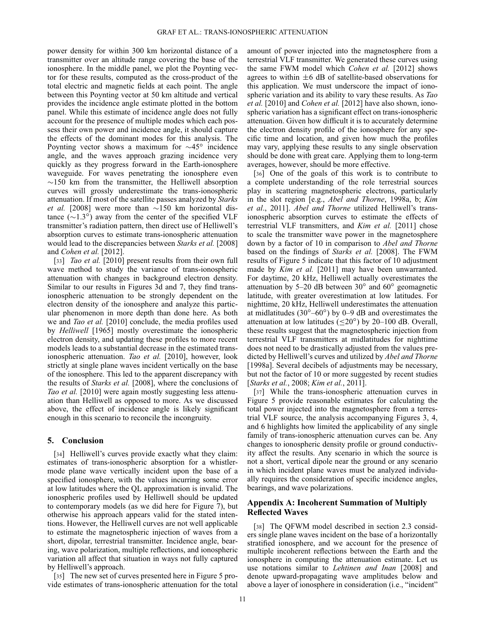power density for within 300 km horizontal distance of a transmitter over an altitude range covering the base of the ionosphere. In the middle panel, we plot the Poynting vector for these results, computed as the cross-product of the total electric and magnetic fields at each point. The angle between this Poynting vector at 50 km altitude and vertical provides the incidence angle estimate plotted in the bottom panel. While this estimate of incidence angle does not fully account for the presence of multiple modes which each possess their own power and incidence angle, it should capture the effects of the dominant modes for this analysis. The Poynting vector shows a maximum for  $\sim 45^\circ$  incidence angle, and the waves approach grazing incidence very quickly as they progress forward in the Earth-ionosphere waveguide. For waves penetrating the ionosphere even  $\sim$ 150 km from the transmitter, the Helliwell absorption curves will grossly underestimate the trans-ionospheric attenuation. If most of the satellite passes analyzed by *Starks et al.* [2008[\]](#page-12-8) [were](#page-12-8) [more](#page-12-8) [than](#page-12-8)  $\sim$ 150 km horizontal distance  $({\sim}1.3^{\circ})$  away from the center of the specified VLF transmitter's radiation pattern, then direct use of Helliwell's absorption curves to estimate trans-ionospheric attenuation would lead to the discrepancies between *[Starks et al.](#page-12-8)* [2008] and *[Cohen et al.](#page-11-10)* [2012].

[33] *[Tao et al.](#page-12-11)* [2010] present results from their own full wave method to study the variance of trans-ionospheric attenuation with changes in background electron density. Similar to our results in Figures [3d](#page-5-0) and [7,](#page-8-0) they find transionospheric attenuation to be strongly dependent on the electron density of the ionosphere and analyze this particular phenomenon in more depth than done here. As both we and *[Tao et al.](#page-12-11)* [2010] conclude, the media profiles used by *[Helliwell](#page-12-9)* [1965] mostly overestimate the ionospheric electron density, and updating these profiles to more recent models leads to a substantial decrease in the estimated transionospheric attenuation. *[Tao et al.](#page-12-11)* [2010], however, look strictly at single plane waves incident vertically on the base of the ionosphere. This led to the apparent discrepancy with the results of *[Starks et al.](#page-12-8)* [2008], where the conclusions of *[Tao et al.](#page-12-11)* [2010] were again mostly suggesting less attenuation than Helliwell as opposed to more. As we discussed above, the effect of incidence angle is likely significant enough in this scenario to reconcile the incongruity.

### **5. Conclusion**

[34] Helliwell's curves provide exactly what they claim: estimates of trans-ionospheric absorption for a whistlermode plane wave vertically incident upon the base of a specified ionosphere, with the values incurring some error at low latitudes where the QL approximation is invalid. The ionospheric profiles used by Helliwell should be updated to contemporary models (as we did here for Figure [7\)](#page-8-0), but otherwise his approach appears valid for the stated intentions. However, the Helliwell curves are not well applicable to estimate the magnetospheric injection of waves from a short, dipolar, terrestrial transmitter. Incidence angle, bearing, wave polarization, multiple reflections, and ionospheric variation all affect that situation in ways not fully captured by Helliwell's approach.

[35] The new set of curves presented here in Figure [5](#page-6-1) provide estimates of trans-ionospheric attenuation for the total amount of power injected into the magnetosphere from a terrestrial VLF transmitter. We generated these curves using the same FWM model which *[Cohen et al.](#page-11-10)* [2012] shows agrees to within  $\pm 6$  dB of satellite-based observations for this application. We must underscore the impact of ionospheric variation and its ability to vary these results. As *Tao et al.* [2010] and *[Cohen et al.](#page-11-10)* [\[2012\]](#page-12-11) [have](#page-12-11) [also](#page-12-11) [shown,](#page-12-11) [io](#page-12-11)nospheric variation has a significant effect on trans-ionospheric attenuation. Given how difficult it is to accurately determine the electron density profile of the ionosphere for any specific time and location, and given how much the profiles may vary, applying these results to any single observation should be done with great care. Applying them to long-term averages, however, should be more effective.

[36] One of the goals of this work is to contribute to a complete understanding of the role terrestrial sources play in scattering magnetospheric electrons, particularly in the slot region [e.g., *Abel and Thorne*, [1998a,](#page-11-0) b; *Kim et al*., [2011\]](#page-12-23). *Abel and Thorne* utilized Helliwell's transionospheric absorption curves to estimate the effects of terrestrial VLF transmitters, and *[Kim et al.](#page-12-23)* [2011] chose to scale the transmitter wave power in the magnetosphere down by a factor of 10 in comparison to *Abel and Thorne* based on the findings of *[Starks et al.](#page-12-8)* [2008]. The FWM results of Figure [5](#page-6-1) indicate that this factor of 10 adjustment made by *[Kim et al.](#page-12-23)* [2011] may have been unwarranted. For daytime, 20 kHz, Helliwell actually overestimates the attenuation by 5–20 dB between  $30^{\circ}$  and  $60^{\circ}$  geomagnetic latitude, with greater overestimation at low latitudes. For nighttime, 20 kHz, Helliwell underestimates the attenuation at midlatitudes (30 $^{\circ}$ –60 $^{\circ}$ ) by 0–9 dB and overestimates the attenuation at low latitudes ( $\leq$ 20°) by 20–100 dB. Overall, these results suggest that the magnetospheric injection from terrestrial VLF transmitters at midlatitudes for nighttime does not need to be drastically adjusted from the values predicted by Helliwell's curves and utilized by *Abel and Thorne* [1998a[\].](#page-11-0) [Several](#page-11-0) [decibels](#page-11-0) [of](#page-11-0) [adjustments](#page-11-0) [m](#page-11-0)ay be necessary, but not the factor of 10 or more suggested by recent studies [*[Starks et al.](#page-12-8)*, 2008; *[Kim et al.](#page-12-23)*, 2011].

[37] While the trans-ionospheric attenuation curves in Figure [5](#page-6-1) provide reasonable estimates for calculating the total power injected into the magnetosphere from a terrestrial VLF source, the analysis accompanying Figures [3,](#page-5-0) [4,](#page-6-0) and [6](#page-7-0) highlights how limited the applicability of any single family of trans-ionospheric attenuation curves can be. Any changes to ionospheric density profile or ground conductivity affect the results. Any scenario in which the source is not a short, vertical dipole near the ground or any scenario in which incident plane waves must be analyzed individually requires the consideration of specific incidence angles, bearings, and wave polarizations.

## **Appendix A: Incoherent Summation of Multiply Reflected Waves**

[38] The OFWM model described in section [2.3](#page-4-1) considers single plane waves incident on the base of a horizontally stratified ionosphere, and we account for the presence of multiple incoherent reflections between the Earth and the ionosphere in computing the attenuation estimate. Let us use notations similar to *[Lehtinen and Inan](#page-12-14)* [2008] and denote upward-propagating wave amplitudes below and above a layer of ionosphere in consideration (i.e., "incident"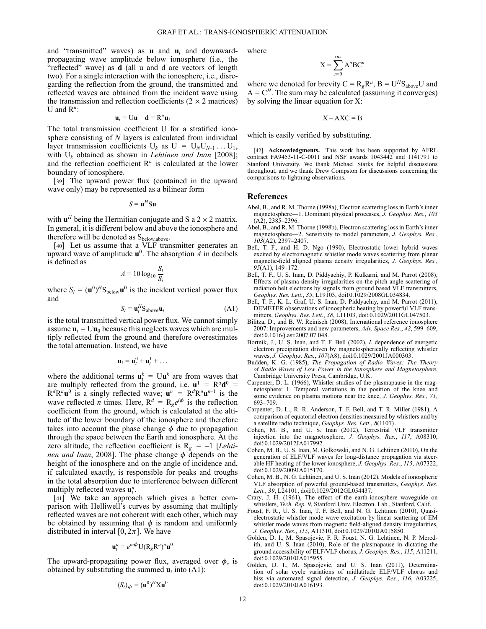and "transmitted" waves) as **u** and  $\mathbf{u}_t$  and downwardpropagating wave amplitude below ionosphere (i.e., the "reflected" wave) as **d** (all u and d are vectors of length two). For a single interaction with the ionosphere, i.e., disregarding the reflection from the ground, the transmitted and reflected waves are obtained from the incident wave using the transmission and reflection coefficients  $(2 \times 2 \text{ matrices})$ U and R*<sup>u</sup>*:

$$
\mathbf{u}_t = \mathbf{U}\mathbf{u} \quad \mathbf{d} = \mathbf{R}^u \mathbf{u}_t
$$

The total transmission coefficient U for a stratified ionosphere consisting of *N* layers is calculated from individual layer transmission coefficients  $U_k$  as  $U = U_N U_{N-1} \dots U_1$ , with U*<sup>k</sup>* obtained as shown in *[Lehtinen and Inan](#page-12-14)* [2008]; and the reflection coefficient R*<sup>u</sup>* is calculated at the lower boundary of ionosphere.

[39] The upward power flux (contained in the upward wave only) may be represented as a bilinear form

 $S = \mathbf{u}^H S \mathbf{u}$ 

with  $\mathbf{u}^H$  being the Hermitian conjugate and S a 2  $\times$  2 matrix. In general, it is different below and above the ionosphere and therefore will be denoted as  $S_{below, above}$ .

[40] Let us assume that a VLF transmitter generates an upward wave of amplitude  $\mathbf{u}^0$ . The absorption *A* in decibels is defined as

$$
A = 10 \log_{10} \frac{S_t}{S_i}
$$

where  $S_i = (\mathbf{u}^0)^H \mathbf{S}_{\text{below}} \mathbf{u}^0$  is the incident vertical power flux and

<span id="page-11-15"></span>
$$
S_t = \mathbf{u}_t^H \mathbf{S}_{above} \mathbf{u}_t
$$
 (A1)

is the total transmitted vertical power flux. We cannot simply assume  $\mathbf{u}_t = \mathbf{U} \mathbf{u}_0$  because this neglects waves which are multiply reflected from the ground and therefore overestimates the total attenuation. Instead, we have

$$
\mathbf{u}_t = \mathbf{u}_t^0 + \mathbf{u}_t^1 + \dots
$$

where the additional terms  $\mathbf{u}_t^k = \mathbf{U}\mathbf{u}^k$  are from waves that are multiply reflected from the ground, i.e.  $\mathbf{u}^1 = \mathbf{R}^d \mathbf{d}^0 =$  $R^d R^u \mathbf{u}^0$  is a singly reflected wave;  $\mathbf{u}^n = R^d R^u \mathbf{u}^{n-1}$  is the wave reflected *n* times. Here,  $R^d = R_g e^{i\phi}$  is the reflection coefficient from the ground, which is calculated at the altitude of the lower boundary of the ionosphere and therefore takes into account the phase change  $\phi$  due to propagation through the space between the Earth and ionosphere. At the zero altitude, the re[flection](#page-12-14) [coefficient](#page-12-14) [is](#page-12-14)  $R_g = -1$  [*Lehtinen and Inan*, 2008]. The phase change  $\phi$  depends on the height of the ionosphere and on the angle of incidence and, if calculated exactly, is responsible for peaks and troughs in the total absorption due to interference between different multiply reflected waves  $\mathbf{u}_i^n$ .

[41] We take an approach which gives a better comparison with Helliwell's curves by assuming that multiply reflected waves are not coherent with each other, which may be obtained by assuming that  $\phi$  is random and uniformly distributed in interval [0,  $2\pi$ ]. We have

$$
\mathbf{u}_t^n = e^{in\phi} \mathbf{U} (\mathbf{R}_g \mathbf{R}^u)^n \mathbf{u}^0
$$

The upward-propagating power flux, averaged over  $\phi$ , is obtained by substituting the summed  $\mathbf{u}_t$  into [\(A1\)](#page-11-15):

$$
\langle S_t \rangle_{\boldsymbol{\phi}} = (\mathbf{u}^0)^H \mathbf{X} \mathbf{u}^0
$$

where

$$
X = \sum_{n=0}^{\infty} A^n B C^n
$$

where we denoted for brevity  $C = R_{g}R^{u}$ ,  $B = U^{H}S_{above}U$  and  $A = C<sup>H</sup>$ . The sum may be calculated (assuming it converges) by solving the linear equation for X:

$$
X - AXC = B
$$

which is easily verified by substituting.

[42] **Acknowledgments.** This work has been supported by AFRL contract FA9453-11-C-0011 and NSF awards 1043442 and 1141791 to Stanford University. We thank Michael Starks for helpful discussions throughout, and we thank Drew Compston for discussions concerning the comparisons to lightning observations.

#### **References**

- <span id="page-11-0"></span>Abel, B., and R. M. Thorne (1998a), Electron scattering loss in Earth's inner magnetosphere—1. Dominant physical processes, *J. Geophys. Res.*, *103*  $(A2), 2385 - 2396.$
- Abel, B., and R. M. Thorne (1998b), Electron scattering loss in Earth's inner magnetosphere—2. Sensitivity to model parameters, *J. Geophys. Res.*, *103*(A2), 2397–2407.
- Bell, T. F., and H. D. Ngo (1990), Electrostatic lower hybrid waves excited by electromagnetic whistler mode waves scattering from planar magnetic-field aligned plasma density irregularities, *J. Geophys. Res.*, *95*(A1), 149–172.
- <span id="page-11-11"></span>Bell, T. F., U. S. Inan, D. Piddyachiy, P. Kulkarni, and M. Parrot (2008), Effects of plasma density irregularities on the pitch angle scattering of radiation belt electrons by signals from ground based VLF transmitters, *Geophys. Res. Lett.*, *35*, L19103, doi:10.1029/2008GL034834.
- <span id="page-11-8"></span>Bell, T. F., K. L. Graf, U. S. Inan, D. Piddyachiy, and M. Parrot (2011), DEMETER observations of ionospheric heating by powerful VLF transmitters, *Geophys. Res. Lett.*, 38, L11103, doi10.1029/2011GL047503.
- <span id="page-11-13"></span>Bilitza, D., and B. W. Reinisch (2008), International reference ionosphere 2007: Improvements and new parameters, *Adv. Space Res.*, *42*, 599–609, doi10.1016/j.asr.2007.07.048.
- <span id="page-11-5"></span>Bortnik, J., U. S. Inan, and T. F. Bell (2002), *L* dependence of energetic electron precipitation driven by magnetospherically reflecting whistler waves, *J. Geophys. Res.*, 107(A8), doi10.1029/2001JA000303.
- <span id="page-11-12"></span>Budden, K. G. (1985), *The Propagation of Radio Waves: The Theory of Radio Waves of Low Power in the Ionosphere and Magnetosphere*, Cambridge University Press, Cambridge, U.K.
- <span id="page-11-3"></span>Carpenter, D. L. (1966), Whistler studies of the plasmapause in the magnetosphere: 1. Temporal variations in the position of the knee and some evidence on plasma motions near the knee, *J. Geophys. Res.*, *71*, 693–709.
- <span id="page-11-4"></span>Carpenter, D. L., R. R. Anderson, T. F. Bell, and T. R. Miller (1981), A comparison of equatorial electron densities measured by whistlers and by a satellite radio technique, *Geophys. Res. Lett.*, *8*(1107).
- <span id="page-11-9"></span>Cohen, M. B., and U. S. Inan (2012), Terrestrial VLF transmitter injection into the magnetosphere, *J. Geophys. Res.*, *117*, A08310, doi:10.1029/2012JA017992.
- <span id="page-11-14"></span>Cohen, M. B., U. S. Inan, M. Golkowski, and N. G. Lehtinen (2010), On the generation of ELF/VLF waves for long-distance propagation via steerable HF heating of the lower ionosphere, *J. Geophys. Res.*, *115*, A07322, doi:10.1029/2009JA015170.
- <span id="page-11-10"></span>Cohen, M. B., N. G. Lehtinen, and U. S. Inan (2012), Models of ionospheric VLF absorption of powerful ground-based transmitters, *Geophys. Res.* Lett., 39, L24101, doi10.1029/2012GL054437.
- <span id="page-11-6"></span>Crary, J. H. (1961), The effect of the earth-ionosphere waveguide on whistlers, *Tech. Rep. 9*, Stanford Univ. Electron. Lab., Stanford, Calif.
- <span id="page-11-7"></span>Foust, F. R., U. S. Inan, T. F. Bell, and N. G. Lehtinen (2010), Quasielectrostatic whistler mode wave excitation by linear scattering of EM whistler mode waves from magnetic field-aligned density irregularities, *J. Geophys. Res., 115, A11310, doi10.1029/2010JA015850.*
- <span id="page-11-2"></span>Golden, D. I., M. Spasojevic, F. R. Foust, N. G. Lehtinen, N. P. Meredith, and U. S. Inan (2010), Role of the plasmapause in dictating the ground accessibility of ELF/VLF chorus, *J. Geophys. Res.*, *115*, A11211, doi10.1029/2010JA015955.
- <span id="page-11-1"></span>Golden, D. I., M. Spasojevic, and U. S. Inan (2011), Determination of solar cycle variations of midlatitude ELF/VLF chorus and hiss via automated signal detection, *J. Geophys. Res.*, *116*, A03225, doi10.1029/2010JA016193.